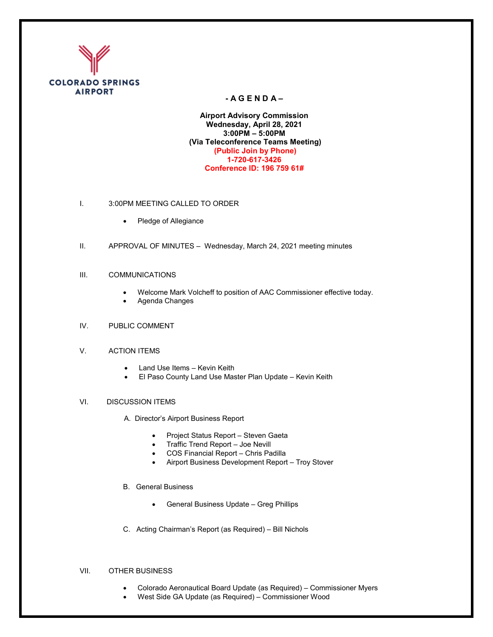

## **- A G E N D A –**

**Airport Advisory Commission Wednesday, April 28, 2021 3:00PM – 5:00PM (Via Teleconference Teams Meeting) (Public Join by Phone) 1-720-617-3426 Conference ID: 196 759 61#**

- I. 3:00PM MEETING CALLED TO ORDER
	- Pledge of Allegiance
- II. APPROVAL OF MINUTES Wednesday, March 24, 2021 meeting minutes
- III. COMMUNICATIONS
	- Welcome Mark Volcheff to position of AAC Commissioner effective today.
	- Agenda Changes
- IV. PUBLIC COMMENT
- V. ACTION ITEMS
	- Land Use Items Kevin Keith
	- El Paso County Land Use Master Plan Update Kevin Keith
- VI. DISCUSSION ITEMS
	- A. Director's Airport Business Report
		- Project Status Report Steven Gaeta
		- Traffic Trend Report Joe Nevill
		- COS Financial Report Chris Padilla
		- Airport Business Development Report Troy Stover
	- B. General Business
		- General Business Update Greg Phillips
	- C. Acting Chairman's Report (as Required) Bill Nichols

## VII. OTHER BUSINESS

- Colorado Aeronautical Board Update (as Required) Commissioner Myers
- West Side GA Update (as Required) Commissioner Wood